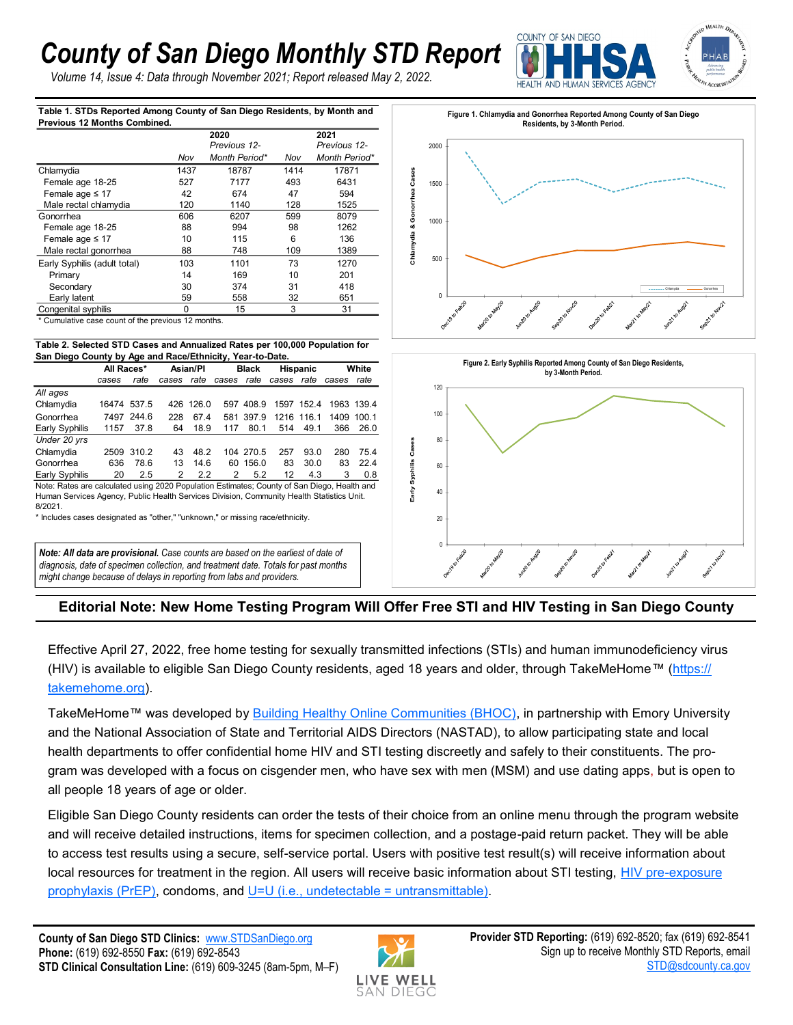## *County of San Diego Monthly STD Report*

*Volume 14, Issue 4: Data through November 2021; Report released May 2, 2022.*



**Table 1. STDs Reported Among County of San Diego Residents, by Month and Previous 12 Months Combined.**

|                                                                             |          | 2020<br>Previous 12- |                 | 2021<br>Previous 12- |  |  |  |  |  |  |  |
|-----------------------------------------------------------------------------|----------|----------------------|-----------------|----------------------|--|--|--|--|--|--|--|
|                                                                             | Nov      | Month Period*        | Nov             | Month Period*        |  |  |  |  |  |  |  |
| Chlamydia                                                                   | 1437     | 18787                | 1414            | 17871                |  |  |  |  |  |  |  |
| Female age 18-25                                                            | 527      | 7177                 | 493             | 6431                 |  |  |  |  |  |  |  |
| Female age $\leq 17$                                                        | 42       | 674                  | 47              | 594                  |  |  |  |  |  |  |  |
| Male rectal chlamydia                                                       | 120      | 1140                 | 128             | 1525                 |  |  |  |  |  |  |  |
| Gonorrhea                                                                   | 606      | 6207                 | 599             | 8079                 |  |  |  |  |  |  |  |
| Female age 18-25                                                            | 88       | 994                  | 98              | 1262                 |  |  |  |  |  |  |  |
| Female age $\leq 17$                                                        | 10       | 115                  | 6               | 136                  |  |  |  |  |  |  |  |
| Male rectal gonorrhea                                                       | 88       | 748                  | 109             | 1389                 |  |  |  |  |  |  |  |
| Early Syphilis (adult total)                                                | 103      | 1101                 | 73              | 1270                 |  |  |  |  |  |  |  |
| Primary                                                                     | 14       | 169                  | 10              | 201                  |  |  |  |  |  |  |  |
| Secondary                                                                   | 30       | 374                  | 31              | 418                  |  |  |  |  |  |  |  |
| Early latent                                                                | 59       | 558                  | 32              | 651                  |  |  |  |  |  |  |  |
| Congenital syphilis                                                         | 0        | 15                   | 3               | 31                   |  |  |  |  |  |  |  |
| * Cumulative case count of the previous 12 months.                          |          |                      |                 |                      |  |  |  |  |  |  |  |
| Table 2. Selected STD Cases and Annualized Rates per 100,000 Population for |          |                      |                 |                      |  |  |  |  |  |  |  |
| San Diego County by Age and Race/Ethnicity, Year-to-Date.                   |          |                      |                 |                      |  |  |  |  |  |  |  |
| All Races*                                                                  | Asian/PI | <b>Black</b>         | <b>Hispanic</b> | White                |  |  |  |  |  |  |  |

## **Table 2. Selected STD Cases and Annualized Rates per 100,000 Population for San Diego County by Age and Race/Ethnicity, Year-to-Date.**

| .                                                                                           |             |            |          |           |              |           |                 |            |       |            |  |  |
|---------------------------------------------------------------------------------------------|-------------|------------|----------|-----------|--------------|-----------|-----------------|------------|-------|------------|--|--|
|                                                                                             | All Races*  |            | Asian/PI |           | <b>Black</b> |           | <b>Hispanic</b> |            | White |            |  |  |
|                                                                                             | cases       | rate       | cases    | rate      | cases        | rate      | cases           | rate       | cases | rate       |  |  |
| All ages                                                                                    |             |            |          |           |              |           |                 |            |       |            |  |  |
| Chlamydia                                                                                   | 16474 537.5 |            |          | 426 126.0 | 597          | 408.9     |                 | 1597 152.4 |       | 1963 139.4 |  |  |
| Gonorrhea                                                                                   |             | 7497 244.6 | 228      | 67.4      | 581          | 397.9     |                 | 1216 116.1 |       | 1409 100.1 |  |  |
| Early Syphilis                                                                              | 1157        | 37.8       | 64       | 18.9      | 117          | 80.1      | 514             | 49.1       | 366   | 26.0       |  |  |
| Under 20 yrs                                                                                |             |            |          |           |              |           |                 |            |       |            |  |  |
| Chlamydia                                                                                   |             | 2509 310.2 | 43       | 48.2      |              | 104 270.5 | 257             | 93.0       | 280   | 75.4       |  |  |
| Gonorrhea                                                                                   | 636         | 78.6       | 13       | 14.6      | 60           | 156.0     | 83              | 30.0       | 83    | 22.4       |  |  |
| Early Syphilis                                                                              | 20          | 2.5        | 2        | 2.2       | 2            | 5.2       | 12              | 4.3        | 3     | 0.8        |  |  |
| Note: Rates are calculated using 2020 Population Estimates; County of San Diego, Health and |             |            |          |           |              |           |                 |            |       |            |  |  |

Human Services Agency, Public Health Services Division, Community Health Statistics Unit. 8/2021.

\* Includes cases designated as "other," "unknown," or missing race/ethnicity.

*Note: All data are provisional. Case counts are based on the earliest of date of diagnosis, date of specimen collection, and treatment date. Totals for past months might change because of delays in reporting from labs and providers.* 





## **Editorial Note: New Home Testing Program Will Offer Free STI and HIV Testing in San Diego County**

Effective April 27, 2022, free home testing for sexually transmitted infections (STIs) and human immunodeficiency virus (HIV) is available to eligible San Diego County residents, aged 18 years and older, through TakeMeHome™ ([https://](https://takemehome.org) [takemehome.org\)](https://takemehome.org).

TakeMeHome™ was developed by [Building Healthy Online Communities \(BHOC\),](https://bhocpartners.org/) in partnership with Emory University and the National Association of State and Territorial AIDS Directors (NASTAD), to allow participating state and local health departments to offer confidential home HIV and STI testing discreetly and safely to their constituents. The program was developed with a focus on cisgender men, who have sex with men (MSM) and use dating apps, but is open to all people 18 years of age or older.

Eligible San Diego County residents can order the tests of their choice from an online menu through the program website and will receive detailed instructions, items for specimen collection, and a postage-paid return packet. They will be able to access test results using a secure, self-service portal. Users with positive test result(s) will receive information about local resources for treatment in the region. All users will receive basic information about STI testing, HIV pre-exposure [prophylaxis \(PrEP\),](https://www.cdc.gov/hiv/risk/prep/index.html) condoms, and [U=U \(i.e., undetectable = untransmittable\).](https://www.niaid.nih.gov/diseases-conditions/treatment-prevention)